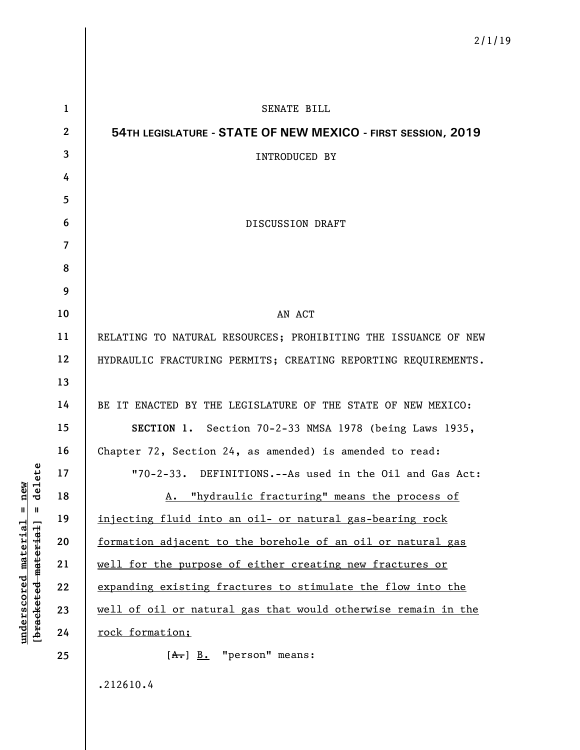| $\mathbf 1$      | SENATE BILL                                                    |
|------------------|----------------------------------------------------------------|
| $\boldsymbol{2}$ | 54TH LEGISLATURE - STATE OF NEW MEXICO - FIRST SESSION, 2019   |
| 3                | <b>INTRODUCED BY</b>                                           |
| 4                |                                                                |
| 5                |                                                                |
| 6                | <b>DISCUSSION DRAFT</b>                                        |
| $\overline{7}$   |                                                                |
| 8                |                                                                |
| 9                |                                                                |
| 10               | AN ACT                                                         |
| 11               | RELATING TO NATURAL RESOURCES; PROHIBITING THE ISSUANCE OF NEW |
| 12               | HYDRAULIC FRACTURING PERMITS; CREATING REPORTING REQUIREMENTS. |
| 13               |                                                                |
| 14               | BE IT ENACTED BY THE LEGISLATURE OF THE STATE OF NEW MEXICO:   |
| 15               | SECTION 1. Section 70-2-33 NMSA 1978 (being Laws 1935,         |
| 16               | Chapter 72, Section 24, as amended) is amended to read:        |
| 17               | "70-2-33. DEFINITIONS.--As used in the Oil and Gas Act:        |
| 18               | A. "hydraulic fracturing" means the process of                 |
| 19               | injecting fluid into an oil- or natural gas-bearing rock       |
| 20               | formation adjacent to the borehole of an oil or natural gas    |
| 21               | well for the purpose of either creating new fractures or       |
| 22               | expanding existing fractures to stimulate the flow into the    |
| 23               | well of oil or natural gas that would otherwise remain in the  |
| 24               | rock formation;                                                |
| 25               | $[A \cdot] B$ . "person" means:                                |
|                  | .212610.4                                                      |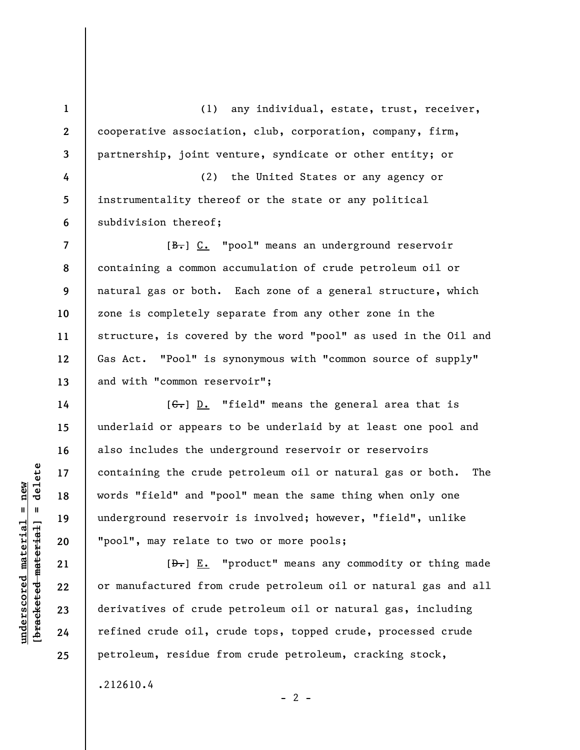(1) any individual, estate, trust, receiver, cooperative association, club, corporation, company, firm, partnership, joint venture, syndicate or other entity; or

**4 5 6**  (2) the United States or any agency or instrumentality thereof or the state or any political subdivision thereof;

[ $\frac{B-1}{B}$ ] C. "pool" means an underground reservoir containing a common accumulation of crude petroleum oil or natural gas or both. Each zone of a general structure, which zone is completely separate from any other zone in the structure, is covered by the word "pool" as used in the Oil and Gas Act. "Pool" is synonymous with "common source of supply" and with "common reservoir";

 $[G<sub>1</sub>]$  D. "field" means the general area that is underlaid or appears to be underlaid by at least one pool and also includes the underground reservoir or reservoirs containing the crude petroleum oil or natural gas or both. The words "field" and "pool" mean the same thing when only one underground reservoir is involved; however, "field", unlike "pool", may relate to two or more pools;

 $[\frac{D-1}{2}]$  E. "product" means any commodity or thing made or manufactured from crude petroleum oil or natural gas and all derivatives of crude petroleum oil or natural gas, including refined crude oil, crude tops, topped crude, processed crude petroleum, residue from crude petroleum, cracking stock,

 $- 2 -$ 

.212610.4

 $\frac{1}{2}$  of  $\frac{1}{2}$  and  $\frac{1}{2}$  and  $\frac{1}{2}$  and  $\frac{1}{2}$  and  $\frac{1}{2}$  and  $\frac{1}{2}$  and  $\frac{1}{2}$  and  $\frac{1}{2}$  and  $\frac{1}{2}$  and  $\frac{1}{2}$  and  $\frac{1}{2}$  and  $\frac{1}{2}$  and  $\frac{1}{2}$  and  $\frac{1}{2}$  and  $\frac{1}{2}$  an **[bracketed material] = delete**  $anderscored material = new$ **underscored material = new**

**1** 

**2** 

**3** 

**7** 

**8** 

**9** 

**10** 

**11** 

**12** 

**13** 

**14** 

**15** 

**16** 

**17** 

**18** 

**19** 

**20** 

**21** 

**22** 

**23** 

**24** 

**25**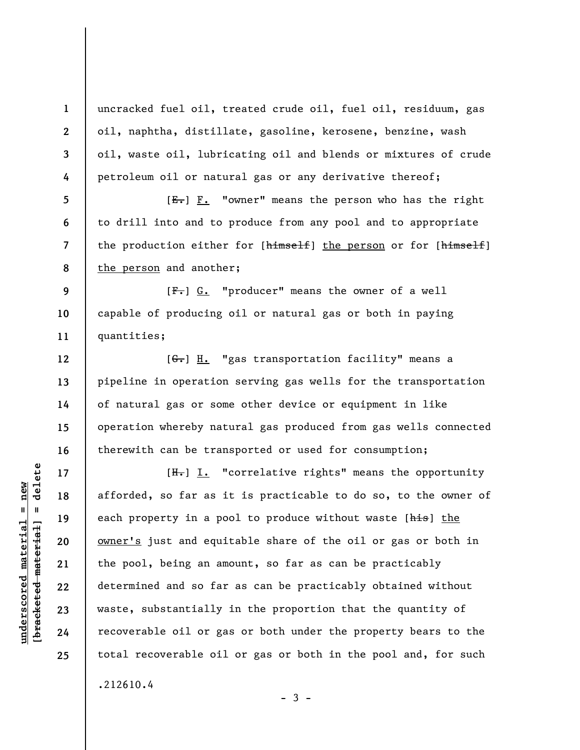uncracked fuel oil, treated crude oil, fuel oil, residuum, gas oil, naphtha, distillate, gasoline, kerosene, benzine, wash oil, waste oil, lubricating oil and blends or mixtures of crude petroleum oil or natural gas or any derivative thereof;

 $[E-]$   $F.$  "owner" means the person who has the right to drill into and to produce from any pool and to appropriate the production either for [himself] the person or for [himself] the person and another;

**9 10 11**   $[F-]$  G. "producer" means the owner of a well capable of producing oil or natural gas or both in paying quantities;

[G.] H. "gas transportation facility" means a pipeline in operation serving gas wells for the transportation of natural gas or some other device or equipment in like operation whereby natural gas produced from gas wells connected therewith can be transported or used for consumption;

 $[H<sub>z</sub>]$  I. "correlative rights" means the opportunity afforded, so far as it is practicable to do so, to the owner of each property in a pool to produce without waste [his] the owner's just and equitable share of the oil or gas or both in the pool, being an amount, so far as can be practicably determined and so far as can be practicably obtained without waste, substantially in the proportion that the quantity of recoverable oil or gas or both under the property bears to the total recoverable oil or gas or both in the pool and, for such

 $-3 -$ 

.212610.4

 $\frac{1}{2}$  of  $\frac{1}{2}$  and  $\frac{1}{2}$  and  $\frac{1}{2}$  and  $\frac{1}{2}$  and  $\frac{1}{2}$  and  $\frac{1}{2}$  and  $\frac{1}{2}$  and  $\frac{1}{2}$  and  $\frac{1}{2}$  and  $\frac{1}{2}$  and  $\frac{1}{2}$  and  $\frac{1}{2}$  and  $\frac{1}{2}$  and  $\frac{1}{2}$  and  $\frac{1}{2}$  an **[bracketed material] = delete**  $underscored material = new$ **underscored material = new**

**1** 

**2** 

**3** 

**4** 

**5** 

**6** 

**7** 

**8** 

**12** 

**13** 

**14** 

**15** 

**16** 

**17** 

**18** 

**19** 

**20** 

**21** 

**22** 

**23** 

**24** 

**25**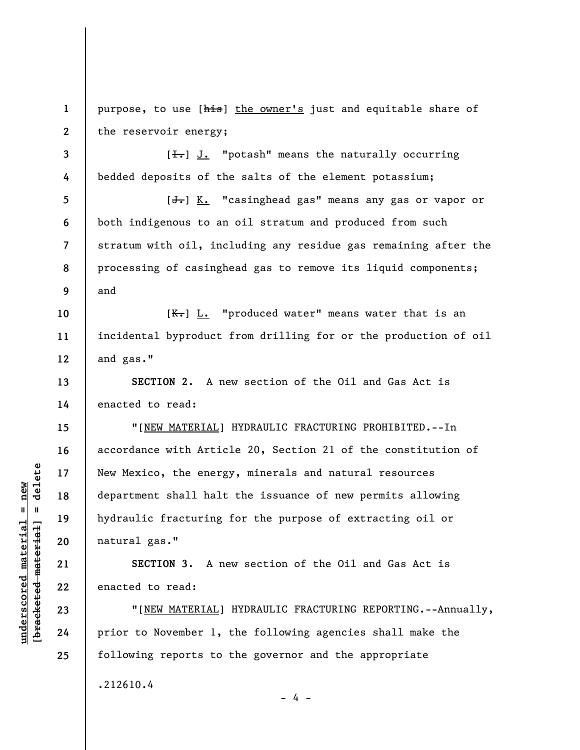**1 2**  purpose, to use [his] the owner's just and equitable share of the reservoir energy;

 $[\frac{1}{\sqrt{1}}]$  J. "potash" means the naturally occurring bedded deposits of the salts of the element potassium;

**5 6 7 8 9**  [<del>J.</del>] K. "casinghead gas" means any gas or vapor or both indigenous to an oil stratum and produced from such stratum with oil, including any residue gas remaining after the processing of casinghead gas to remove its liquid components; and

**10 11 12**   $[K_{\tau}]$   $L_{\tau}$  "produced water" means water that is an incidental byproduct from drilling for or the production of oil and gas."

**SECTION 2.** A new section of the Oil and Gas Act is enacted to read:

"[NEW MATERIAL] HYDRAULIC FRACTURING PROHIBITED.--In accordance with Article 20, Section 21 of the constitution of New Mexico, the energy, minerals and natural resources department shall halt the issuance of new permits allowing hydraulic fracturing for the purpose of extracting oil or natural gas."

**SECTION 3.** A new section of the Oil and Gas Act is enacted to read:

"[NEW MATERIAL] HYDRAULIC FRACTURING REPORTING.--Annually, prior to November 1, the following agencies shall make the following reports to the governor and the appropriate

- 4 -

.212610.4

 $b$ racketed material] = delete **[bracketed material] = delete**  $underscored$  material = new **underscored material = new**

**3** 

**4** 

**13** 

**14** 

**15** 

**16** 

**17** 

**18** 

**19** 

**20** 

**21** 

**22** 

**23** 

**24** 

**25**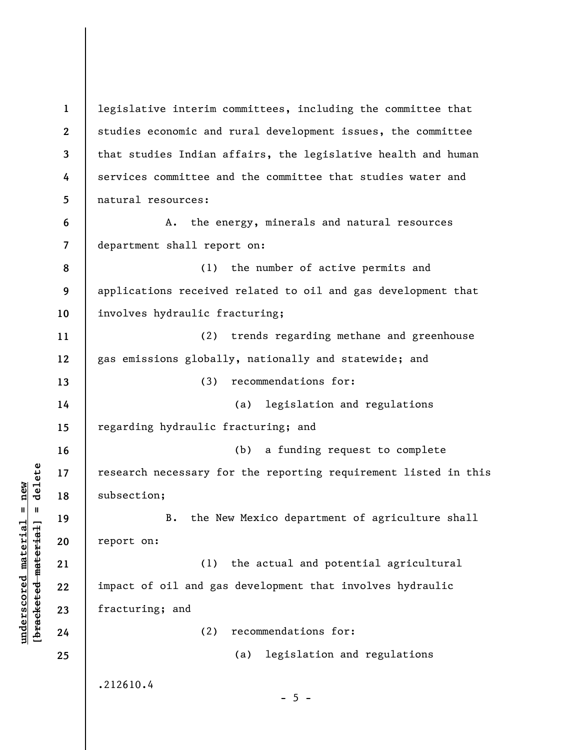**1 2 3 4 5 6 7 8 9 10 11 12 13 14 15 16 17 18 19 20 21 22 23 24 25**  legislative interim committees, including the committee that studies economic and rural development issues, the committee that studies Indian affairs, the legislative health and human services committee and the committee that studies water and natural resources: A. the energy, minerals and natural resources department shall report on: (1) the number of active permits and applications received related to oil and gas development that involves hydraulic fracturing; (2) trends regarding methane and greenhouse gas emissions globally, nationally and statewide; and (3) recommendations for: (a) legislation and regulations regarding hydraulic fracturing; and (b) a funding request to complete research necessary for the reporting requirement listed in this subsection; B. the New Mexico department of agriculture shall report on: (1) the actual and potential agricultural impact of oil and gas development that involves hydraulic fracturing; and (2) recommendations for: (a) legislation and regulations .212610.4  $- 5 -$ 

**underscored material = new [bracketed material] = delete**

 $\frac{1}{2}$  intereted material = delete  $underscored material = new$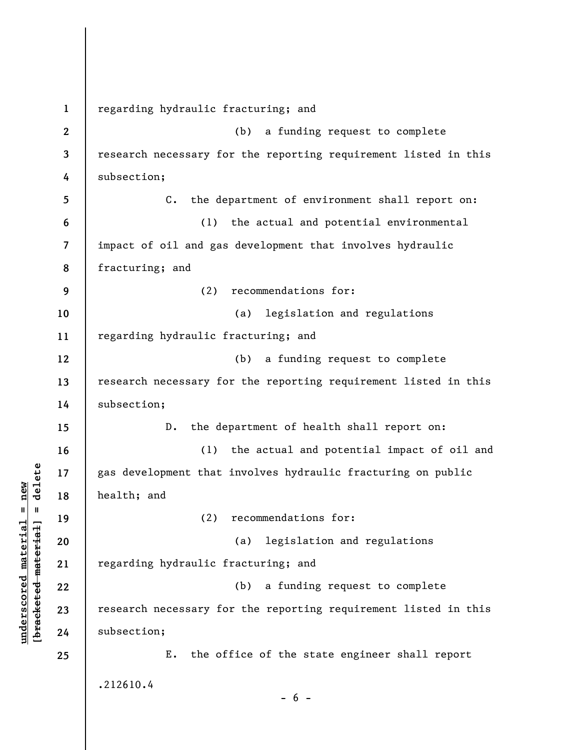**1 2 3 4 5 6 7 8 9 10 11 12 13 14 15 16 17 18 19 20 21 22 23 24 25**  regarding hydraulic fracturing; and (b) a funding request to complete research necessary for the reporting requirement listed in this subsection; C. the department of environment shall report on: (1) the actual and potential environmental impact of oil and gas development that involves hydraulic fracturing; and (2) recommendations for: (a) legislation and regulations regarding hydraulic fracturing; and (b) a funding request to complete research necessary for the reporting requirement listed in this subsection; D. the department of health shall report on: (1) the actual and potential impact of oil and gas development that involves hydraulic fracturing on public health; and (2) recommendations for: (a) legislation and regulations regarding hydraulic fracturing; and (b) a funding request to complete research necessary for the reporting requirement listed in this subsection; E. the office of the state engineer shall report .212610.4  $- 6 -$ 

**underscored material = new [bracketed material] = delete**

 $b$ racketed material] = delete  $underscored material = new$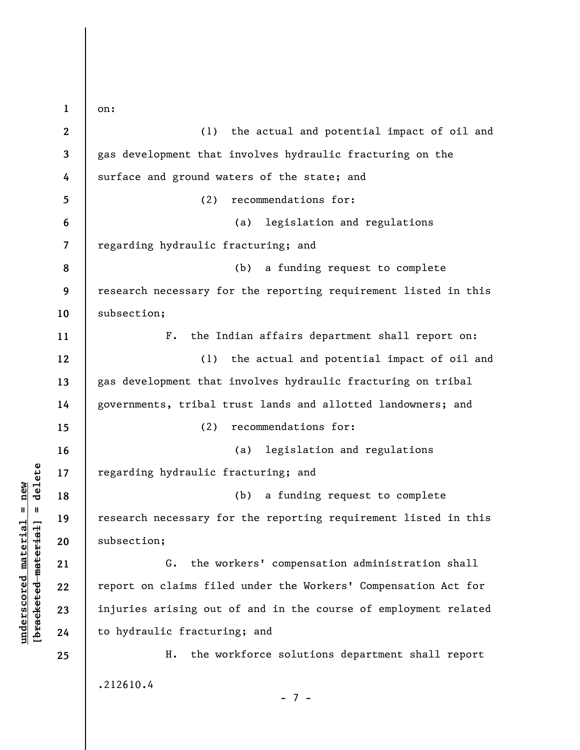**1 2 3 4 5 6 7 8 9 10 11 12 13 14 15 16 17 18 19 20 21 22 23 24 25**  on: (1) the actual and potential impact of oil and gas development that involves hydraulic fracturing on the surface and ground waters of the state; and (2) recommendations for: (a) legislation and regulations regarding hydraulic fracturing; and (b) a funding request to complete research necessary for the reporting requirement listed in this subsection; F. the Indian affairs department shall report on: (1) the actual and potential impact of oil and gas development that involves hydraulic fracturing on tribal governments, tribal trust lands and allotted landowners; and (2) recommendations for: (a) legislation and regulations regarding hydraulic fracturing; and (b) a funding request to complete research necessary for the reporting requirement listed in this subsection; G. the workers' compensation administration shall report on claims filed under the Workers' Compensation Act for injuries arising out of and in the course of employment related to hydraulic fracturing; and H. the workforce solutions department shall report .212610.4 - 7 -

**underscored material = new [bracketed material] = delete**

 $\frac{1}{2}$  intereted material = delete  $underscored material = new$